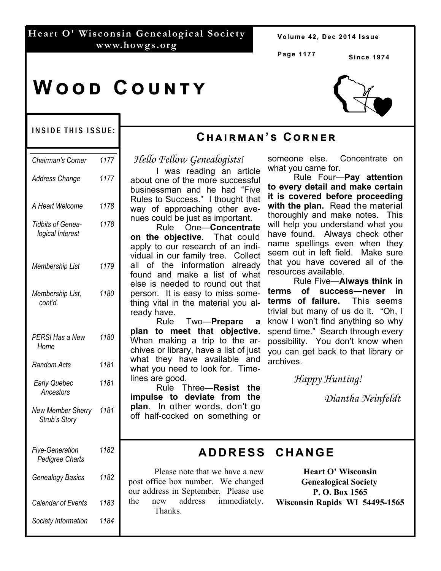#### **Heart O' Wisconsin Genealogical Society www.howgs.org**

Volume 42, Dec 2014 Issue

**Page 1177**

**Since 1974** 

## **WOOD COUNTY**



#### INSIDE THIS ISSUE:

| 1177                   |
|------------------------|
| 1177                   |
| 1178                   |
| 1178                   |
| 1179                   |
| 1180                   |
| 1180                   |
| 1181                   |
| 1181                   |
| New Member Sherry 1181 |
| 1182                   |
| 1182                   |
| 1183                   |
| 1184                   |
|                        |

#### **Cඐඉඑකඕඉඖ'ඛ Cකඖඍක**

*Hello Fellow Genealogists!*

 I was reading an article about one of the more successful businessman and he had "Five Rules to Success." I thought that way of approaching other avenues could be just as important.

 Rule One—**Concentrate on the objective**. That could apply to our research of an individual in our family tree. Collect all of the information already found and make a list of what else is needed to round out that person. It is easy to miss something vital in the material you already have.

 Rule Two—**Prepare a plan to meet that objective**. When making a trip to the archives or library, have a list of just what they have available and what you need to look for. Timelines are good.

 Rule Three—**Resist the impulse to deviate from the plan**. In other words, don't go off half-cocked on something or someone else. Concentrate on what you came for.

 Rule Four—**Pay attention to every detail and make certain it is covered before proceeding with the plan.** Read the material thoroughly and make notes. This will help you understand what you have found. Always check other name spellings even when they seem out in left field. Make sure that you have covered all of the resources available.

 Rule Five—**Always think in terms of success—never in terms of failure.** This seems trivial but many of us do it. "Oh, I know I won't find anything so why spend time." Search through every possibility. You don't know when you can get back to that library or archives.

 *Happy Hunting!* 

 *Diantha Neinfeldt*

#### **ADDRESS CHANGE**

 Please note that we have a new post office box number. We changed our address in September. Please use the new address immediately. Thanks.

**Heart O' Wisconsin Genealogical Society P. O. Box 1565 Wisconsin Rapids WI 54495-1565**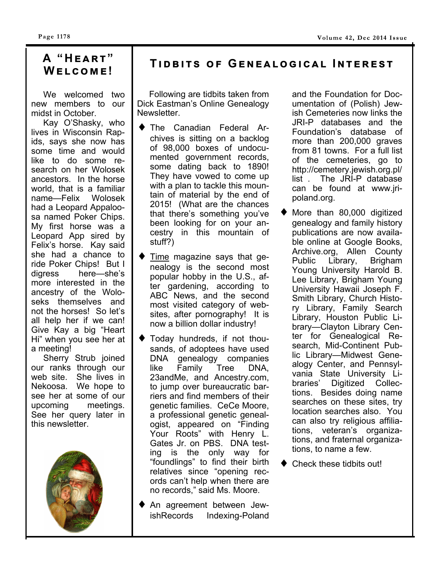# **Wඍඔඋඕඍ!**

 We welcomed two new members to our midst in October.

 Kay O'Shasky, who lives in Wisconsin Rapids, says she now has some time and would like to do some research on her Wolosek ancestors. In the horse world, that is a familiar name—Felix Wolosek had a Leopard Appaloosa named Poker Chips. My first horse was a Leopard App sired by Felix's horse. Kay said she had a chance to ride Poker Chips! But I digress here—she's more interested in the ancestry of the Woloseks themselves and not the horses! So let's all help her if we can! Give Kay a big "Heart Hi" when you see her at a meeting!

 Sherry Strub joined our ranks through our web site. She lives in Nekoosa. We hope to see her at some of our upcoming meetings. See her query later in this newsletter.



### **A** "HEART" | TIDBITS OF GENEALOGICAL INTEREST

 Following are tidbits taken from Dick Eastman's Online Genealogy Newsletter.

- The Canadian Federal Archives is sitting on a backlog of 98,000 boxes of undocumented government records, some dating back to 1890! They have vowed to come up with a plan to tackle this mountain of material by the end of 2015! (What are the chances that there's something you've been looking for on your ancestry in this mountain of stuff?)
- Time magazine says that genealogy is the second most popular hobby in the U.S., after gardening, according to ABC News, and the second most visited category of websites, after pornography! It is now a billion dollar industry!
- Today hundreds, if not thousands, of adoptees have used DNA genealogy companies like Family Tree DNA, 23andMe, and Ancestry.com, to jump over bureaucratic barriers and find members of their genetic families. CeCe Moore, a professional genetic genealogist, appeared on "Finding Your Roots" with Henry L. Gates Jr. on PBS. DNA testing is the only way for "foundlings" to find their birth relatives since "opening records can't help when there are no records," said Ms. Moore.
- An agreement between Jew-<br>
ishRecords Indexing-Poland Indexing-Poland

and the Foundation for Documentation of (Polish) Jewish Cemeteries now links the JRI-P databases and the Foundation's database of more than 200,000 graves from 81 towns. For a full list of the cemeteries, go to http://cemetery.jewish.org.pl/ list . The JRI-P database can be found at www.jripoland.org.

- More than 80,000 digitized genealogy and family history publications are now available online at Google Books, Archive.org, Allen County Public Library, Brigham Young University Harold B. Lee Library, Brigham Young University Hawaii Joseph F. Smith Library, Church History Library, Family Search Library, Houston Public Library—Clayton Library Center for Genealogical Research, Mid-Continent Public Library—Midwest Genealogy Center, and Pennsylvania State University Libraries' Digitized Collections. Besides doing name searches on these sites, try location searches also. You can also try religious affiliations, veteran's organizations, and fraternal organizations, to name a few.
- ◆ Check these tidbits out!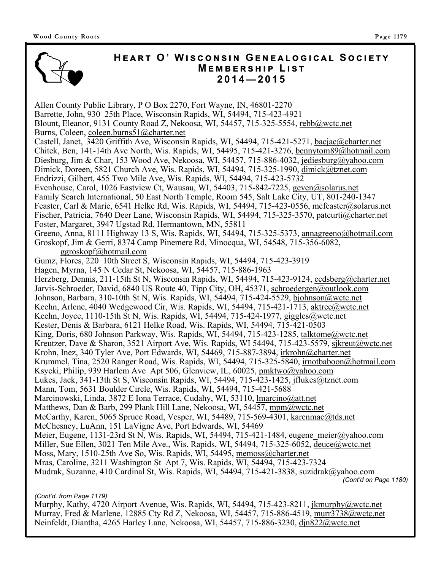

#### $H$ **EART O' WISCONSIN GENEALOGICAL SOCIETY**  $M$ **EMBERSHIP LIST 2014—2015**

Allen County Public Library, P O Box 2270, Fort Wayne, IN, 46801-2270 Barrette, John, 930 25th Place, Wisconsin Rapids, WI, 54494, 715-423-4921 Blount, Eleanor, 9131 County Road Z, Nekoosa, WI, 54457, 715-325-5554, rebb@wctc.net Burns, Coleen, coleen.burns51@charter.net Castell, Janet, 3420 Griffith Ave, Wisconsin Rapids, WI, 54494, 715-421-5271, bacjac@charter.net Chitek, Ben, 141-14th Ave North, Wis. Rapids, WI, 54495, 715-421-3276, bennytom89@hotmail.com Diesburg, Jim & Char, 153 Wood Ave, Nekoosa, WI, 54457, 715-886-4032, jediesburg@yahoo.com Dimick, Doreen, 5821 Church Ave, Wis. Rapids, WI, 54494, 715-325-1990, dimick@tznet.com Endrizzi, Gilbert, 455 Two Mile Ave, Wis. Rapids, WI, 54494, 715-423-5732 Evenhouse, Carol, 1026 Eastview Ct, Wausau, WI, 54403, 715-842-7225, geven@solarus.net Family Search International, 50 East North Temple, Room 545, Salt Lake City, UT, 801-240-1347 Feaster, Carl & Marie, 6541 Helke Rd, Wis. Rapids, WI, 54494, 715-423-0556, mcfeaster@solarus.net Fischer, Patricia, 7640 Deer Lane, Wisconsin Rapids, WI, 54494, 715-325-3570, patcurti@charter.net Foster, Margaret, 3947 Ugstad Rd, Hermantown, MN, 55811 Greeno, Anna, 8111 Highway 13 S, Wis. Rapids, WI, 54494, 715-325-5373, annagreeno@hotmail.com Groskopf, Jim & Gerri, 8374 Camp Pinemere Rd, Minocqua, WI, 54548, 715-356-6082, ggroskopf@hotmail.com Gumz, Flores, 220 10th Street S, Wisconsin Rapids, WI, 54494, 715-423-3919 Hagen, Myrna, 145 N Cedar St, Nekoosa, WI, 54457, 715-886-1963 Herzberg, Dennis, 211-15th St N, Wisconsin Rapids, WI, 54494, 715-423-9124, ccdsberg@charter.net Jarvis-Schroeder, David, 6840 US Route 40, Tipp City, OH, 45371, schroedergen@outlook.com Johnson, Barbara, 310-10th St N, Wis. Rapids, WI, 54494, 715-424-5529, bjohnson@wctc.net Keehn, Arlene, 4040 Wedgewood Cir, Wis. Rapids, WI, 54494, 715-421-1713, aktree@wctc.net Keehn, Joyce, 1110-15th St N, Wis. Rapids, WI, 54494, 715-424-1977, giggles@wctc.net Kester, Denis & Barbara, 6121 Helke Road, Wis. Rapids, WI, 54494, 715-421-0503 King, Doris, 680 Johnson Parkway, Wis. Rapids, WI, 54494, 715-423-1285, talktome@wctc.net Kreutzer, Dave & Sharon, 3521 Airport Ave, Wis. Rapids, WI 54494, 715-423-5579, sjkreut@wctc.net Krohn, Inez, 340 Tyler Ave, Port Edwards, WI, 54469, 715-887-3894, irkrohn@charter.net Krummel, Tina, 2520 Ranger Road, Wis. Rapids, WI, 54494, 715-325-5840, irnotbaboon@hotmail.com Ksycki, Philip, 939 Harlem Ave Apt 506, Glenview, IL, 60025, pmktwo@yahoo.com Lukes, Jack, 341-13th St S, Wisconsin Rapids, WI, 54494, 715-423-1425, jflukes@tznet.com Mann, Tom, 5631 Boulder Circle, Wis. Rapids, WI, 54494, 715-421-5688 Marcinowski, Linda, 3872 E Iona Terrace, Cudahy, WI, 53110, lmarcino@att.net Matthews, Dan & Barb, 299 Plank Hill Lane, Nekoosa, WI, 54457, mpm@wctc.net McCarthy, Karen, 5065 Spruce Road, Vesper, WI, 54489, 715-569-4301, karenmac@tds.net McChesney, LuAnn, 151 LaVigne Ave, Port Edwards, WI, 54469 Meier, Eugene, 1131-23rd St N, Wis. Rapids, WI, 54494, 715-421-1484, eugene meier@yahoo.com Miller, Sue Ellen, 3021 Ten Mile Ave., Wis. Rapids, WI, 54494, 715-325-6052, deuce@wctc.net Moss, Mary, 1510-25th Ave So, Wis. Rapids, WI, 54495, memoss@charter.net Mras, Caroline, 3211 Washington St Apt 7, Wis. Rapids, WI, 54494, 715-423-7324 Mudrak, Suzanne, 410 Cardinal St, Wis. Rapids, WI, 54494, 715-421-3838, suzidrak@yahoo.com *(Cont'd on Page 1180)* 

*(Cont'd. from Page 1179)* 

Murphy, Kathy, 4720 Airport Avenue, Wis. Rapids, WI, 54494, 715-423-8211, jkmurphy@wctc.net Murray, Fred & Marlene, 12885 Cty Rd Z, Nekoosa, WI, 54457, 715-886-4519, murr3738@wctc.net Neinfeldt, Diantha, 4265 Harley Lane, Nekoosa, WI, 54457, 715-886-3230, djn822@wctc.net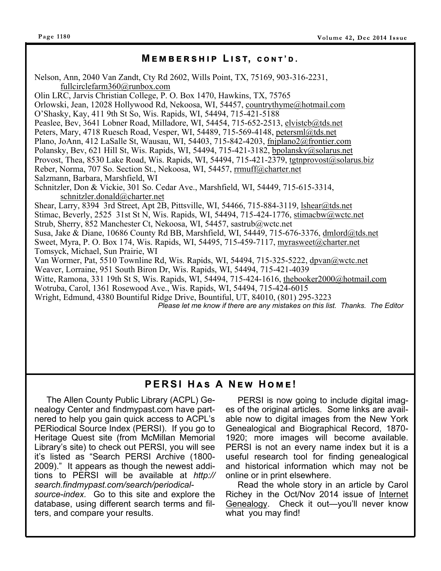#### $M$  **E** M B E R S H I P L I S T, CONT'D.

Nelson, Ann, 2040 Van Zandt, Cty Rd 2602, Wills Point, TX, 75169, 903-316-2231, fullcirclefarm360@runbox.com Olin LRC, Jarvis Christian College, P. O. Box 1470, Hawkins, TX, 75765 Orlowski, Jean, 12028 Hollywood Rd, Nekoosa, WI, 54457, countrythyme@hotmail.com O'Shasky, Kay, 411 9th St So, Wis. Rapids, WI, 54494, 715-421-5188 Peaslee, Bev, 3641 Lobner Road, Milladore, WI, 54454, 715-652-2513, elvistcb@tds.net Peters, Mary, 4718 Ruesch Road, Vesper, WI, 54489, 715-569-4148, petersml@tds.net Plano, JoAnn, 412 LaSalle St, Wausau, WI, 54403, 715-842-4203, fnjplano2@frontier.com Polansky, Bev, 621 Hill St, Wis. Rapids, WI, 54494, 715-421-3182, bpolansky@solarus.net Provost, Thea, 8530 Lake Road, Wis. Rapids, WI, 54494, 715-421-2379, tgtnprovost@solarus.biz Reber, Norma, 707 So. Section St., Nekoosa, WI, 54457, rrmuff@charter.net Salzmann, Barbara, Marshfield, WI Schnitzler, Don & Vickie, 301 So. Cedar Ave., Marshfield, WI, 54449, 715-615-3314, schnitzler.donald@charter.net Shear, Larry, 8394 3rd Street, Apt 2B, Pittsville, WI, 54466, 715-884-3119, lshear@tds.net Stimac, Beverly, 2525 31st St N, Wis. Rapids, WI, 54494, 715-424-1776, stimacbw@wctc.net Strub, Sherry, 852 Manchester Ct, Nekoosa, WI, 54457, sastrub@wctc.net Susa, Jake & Diane, 10686 County Rd BB, Marshfield, WI, 54449, 715-676-3376, dmlord@tds.net Sweet, Myra, P. O. Box 174, Wis. Rapids, WI, 54495, 715-459-7117, myrasweet@charter.net Tomsyck, Michael, Sun Prairie, WI Van Wormer, Pat, 5510 Townline Rd, Wis. Rapids, WI, 54494, 715-325-5222, dpvan@wctc.net Weaver, Lorraine, 951 South Biron Dr, Wis. Rapids, WI, 54494, 715-421-4039 Witte, Ramona, 331 19th St S, Wis. Rapids, WI, 54494, 715-424-1616, thebooker2000@hotmail.com Wotruba, Carol, 1361 Rosewood Ave., Wis. Rapids, WI, 54494, 715-424-6015 Wright, Edmund, 4380 Bountiful Ridge Drive, Bountiful, UT, 84010, (801) 295-3223 *Please let me know if there are any mistakes on this list. Thanks. The Editor*

#### $PERSI$  HAS A NEW HOME!

 The Allen County Public Library (ACPL) Genealogy Center and findmypast.com have partnered to help you gain quick access to ACPL's PERiodical Source Index (PERSI). If you go to Heritage Quest site (from McMillan Memorial Library's site) to check out PERSI, you will see it's listed as "Search PERSI Archive (1800- 2009)." It appears as though the newest additions to PERSI will be available at *http:// search.findmypast.com/search/periodical-*

*source-index.* Go to this site and explore the database, using different search terms and filters, and compare your results.

 PERSI is now going to include digital images of the original articles. Some links are available now to digital images from the New York Genealogical and Biographical Record, 1870- 1920; more images will become available. PERSI is not an every name index but it is a useful research tool for finding genealogical and historical information which may not be online or in print elsewhere.

 Read the whole story in an article by Carol Richey in the Oct/Nov 2014 issue of Internet Genealogy. Check it out—you'll never know what you may find!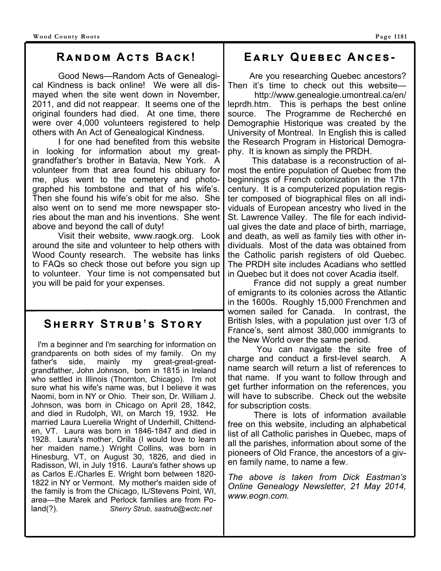Good News—Random Acts of Genealogical Kindness is back online! We were all dismayed when the site went down in November, 2011, and did not reappear. It seems one of the original founders had died. At one time, there were over 4,000 volunteers registered to help others with An Act of Genealogical Kindness.

 I for one had benefited from this website in looking for information about my greatgrandfather's brother in Batavia, New York. A volunteer from that area found his obituary for me, plus went to the cemetery and photographed his tombstone and that of his wife's. Then she found his wife's obit for me also. She also went on to send me more newspaper stories about the man and his inventions. She went above and beyond the call of duty!

 Visit their website, www.raogk.org. Look around the site and volunteer to help others with Wood County research. The website has links to FAQs so check those out before you sign up to volunteer. Your time is not compensated but you will be paid for your expenses.

#### **SHERRY STRUB'S STORY**

 I'm a beginner and I'm searching for information on grandparents on both sides of my family. On my father's side, mainly my great-great-greatgrandfather, John Johnson, born in 1815 in Ireland who settled in Illinois (Thornton, Chicago). I'm not sure what his wife's name was, but I believe it was Naomi, born in NY or Ohio. Their son, Dr. William J. Johnson, was born in Chicago on April 28, 1842, and died in Rudolph, WI, on March 19, 1932. He married Laura Luerelia Wright of Underhill, Chittenden, VT. Laura was born in 1846-1847 and died in 1928. Laura's mother, Orilla (I would love to learn her maiden name.) Wright Collins, was born in Hinesburg, VT, on August 30, 1826, and died in Radisson, WI, in July 1916. Laura's father shows up as Carlos E./Charles E. Wright born between 1820- 1822 in NY or Vermont. My mother's maiden side of the family is from the Chicago, IL/Stevens Point, WI, area—the Marek and Perlock families are from Poland(?). *Sherry Strub, sastrub@wctc.net* 

#### **Rඉඖඌඕ Aඋගඛ Bඉඋඓ! Eඉකඔඡ Qඝඍඊඍඋ Aඖඋඍඛ -**

 Are you researching Quebec ancestors? Then it's time to check out this website—

http://www.genealogie.umontreal.ca/en/ leprdh.htm. This is perhaps the best online source. The Programme de Recherché en Demographie Historique was created by the University of Montreal. In English this is called the Research Program in Historical Demography. It is known as simply the PRDH.

 This database is a reconstruction of almost the entire population of Quebec from the beginnings of French colonization in the 17th century. It is a computerized population register composed of biographical files on all individuals of European ancestry who lived in the St. Lawrence Valley. The file for each individual gives the date and place of birth, marriage, and death, as well as family ties with other individuals. Most of the data was obtained from the Catholic parish registers of old Quebec. The PRDH site includes Acadians who settled in Quebec but it does not cover Acadia itself.

 France did not supply a great number of emigrants to its colonies across the Atlantic in the 1600s. Roughly 15,000 Frenchmen and women sailed for Canada. In contrast, the British Isles, with a population just over 1/3 of France's, sent almost 380,000 immigrants to the New World over the same period.

 You can navigate the site free of charge and conduct a first-level search. A name search will return a list of references to that name. If you want to follow through and get further information on the references, you will have to subscribe. Check out the website for subscription costs.

 There is lots of information available free on this website, including an alphabetical list of all Catholic parishes in Quebec, maps of all the parishes, information about some of the pioneers of Old France, the ancestors of a given family name, to name a few.

*The above is taken from Dick Eastman's Online Genealogy Newsletter, 21 May 2014, www.eogn.com.*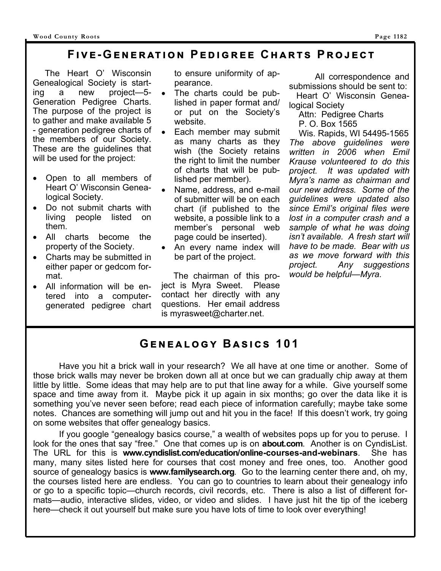#### $PIVE-GENERATION$  PEDIGREE CHARTS PROJECT

 The Heart O' Wisconsin Genealogical Society is starting a new project—5- Generation Pedigree Charts. The purpose of the project is to gather and make available 5 - generation pedigree charts of the members of our Society. These are the guidelines that will be used for the project:

- Open to all members of Heart O' Wisconsin Genealogical Society.
- Do not submit charts with living people listed on them.
- All charts become the property of the Society.
- Charts may be submitted in either paper or gedcom format.
- All information will be entered into a computergenerated pedigree chart

to ensure uniformity of appearance.

- The charts could be published in paper format and/ or put on the Society's website.
- Each member may submit as many charts as they wish (the Society retains the right to limit the number of charts that will be published per member).
- Name, address, and e-mail of submitter will be on each chart (if published to the website, a possible link to a member's personal web page could be inserted).
- An every name index will be part of the project.

 The chairman of this project is Myra Sweet. Please contact her directly with any questions. Her email address is myrasweet@charter.net.

 All correspondence and submissions should be sent to:

 Heart O' Wisconsin Genealogical Society

Attn: Pedigree Charts

P. O. Box 1565

 Wis. Rapids, WI 54495-1565 *The above guidelines were written in 2006 when Emil Krause volunteered to do this project. It was updated with Myra's name as chairman and our new address. Some of the guidelines were updated also since Emil's original files were lost in a computer crash and a sample of what he was doing isn't available. A fresh start will have to be made. Bear with us as we move forward with this project. Any suggestions would be helpful—Myra.* 

#### $G$ **ENEALOGY BASICS 101**

Have you hit a brick wall in your research? We all have at one time or another. Some of those brick walls may never be broken down all at once but we can gradually chip away at them little by little. Some ideas that may help are to put that line away for a while. Give yourself some space and time away from it. Maybe pick it up again in six months; go over the data like it is something you've never seen before; read each piece of information carefully; maybe take some notes. Chances are something will jump out and hit you in the face! If this doesn't work, try going on some websites that offer genealogy basics.

 If you google "genealogy basics course," a wealth of websites pops up for you to peruse. I look for the ones that say "free." One that comes up is on **about.com**. Another is on CyndisList. The URL for this is **www.cyndislist.com/education/online-courses-and-webinars**. She has many, many sites listed here for courses that cost money and free ones, too. Another good source of genealogy basics is **www.familysearch.org**. Go to the learning center there and, oh my, the courses listed here are endless. You can go to countries to learn about their genealogy info or go to a specific topic—church records, civil records, etc. There is also a list of different formats—audio, interactive slides, video, or video and slides. I have just hit the tip of the iceberg here—check it out yourself but make sure you have lots of time to look over everything!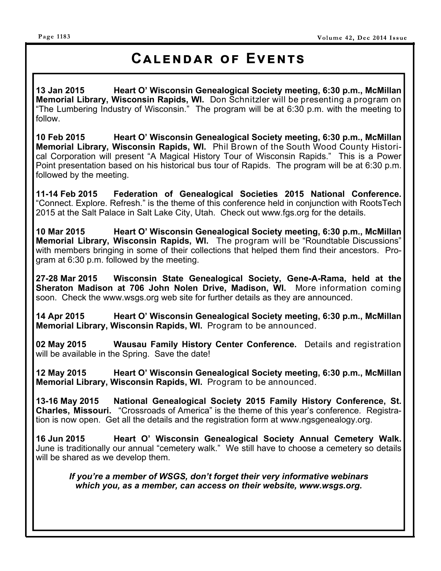### **CALENDAR OF EVENTS**

**13 Jan 2015 Heart O' Wisconsin Genealogical Society meeting, 6:30 p.m., McMillan Memorial Library, Wisconsin Rapids, WI.** Don Schnitzler will be presenting a program on "The Lumbering Industry of Wisconsin." The program will be at 6:30 p.m. with the meeting to follow.

**10 Feb 2015 Heart O' Wisconsin Genealogical Society meeting, 6:30 p.m., McMillan Memorial Library, Wisconsin Rapids, WI.** Phil Brown of the South Wood County Historical Corporation will present "A Magical History Tour of Wisconsin Rapids." This is a Power Point presentation based on his historical bus tour of Rapids. The program will be at 6:30 p.m. followed by the meeting.

**11-14 Feb 2015 Federation of Genealogical Societies 2015 National Conference.**  "Connect. Explore. Refresh." is the theme of this conference held in conjunction with RootsTech 2015 at the Salt Palace in Salt Lake City, Utah. Check out www.fgs.org for the details.

**10 Mar 2015 Heart O' Wisconsin Genealogical Society meeting, 6:30 p.m., McMillan Memorial Library, Wisconsin Rapids, WI.** The program will be "Roundtable Discussions" with members bringing in some of their collections that helped them find their ancestors. Program at 6:30 p.m. followed by the meeting.

**27-28 Mar 2015 Wisconsin State Genealogical Society, Gene-A-Rama, held at the Sheraton Madison at 706 John Nolen Drive, Madison, WI.** More information coming soon. Check the www.wsgs.org web site for further details as they are announced.

**14 Apr 2015 Heart O' Wisconsin Genealogical Society meeting, 6:30 p.m., McMillan Memorial Library, Wisconsin Rapids, WI.** Program to be announced.

**02 May 2015 Wausau Family History Center Conference.** Details and registration will be available in the Spring. Save the date!

**12 May 2015 Heart O' Wisconsin Genealogical Society meeting, 6:30 p.m., McMillan Memorial Library, Wisconsin Rapids, WI.** Program to be announced.

**13-16 May 2015 National Genealogical Society 2015 Family History Conference, St. Charles, Missouri.** "Crossroads of America" is the theme of this year's conference. Registration is now open. Get all the details and the registration form at www.ngsgenealogy.org.

**16 Jun 2015 Heart O' Wisconsin Genealogical Society Annual Cemetery Walk.**  June is traditionally our annual "cemetery walk." We still have to choose a cemetery so details will be shared as we develop them.

*If you're a member of WSGS, don't forget their very informative webinars which you, as a member, can access on their website, www.wsgs.org.*